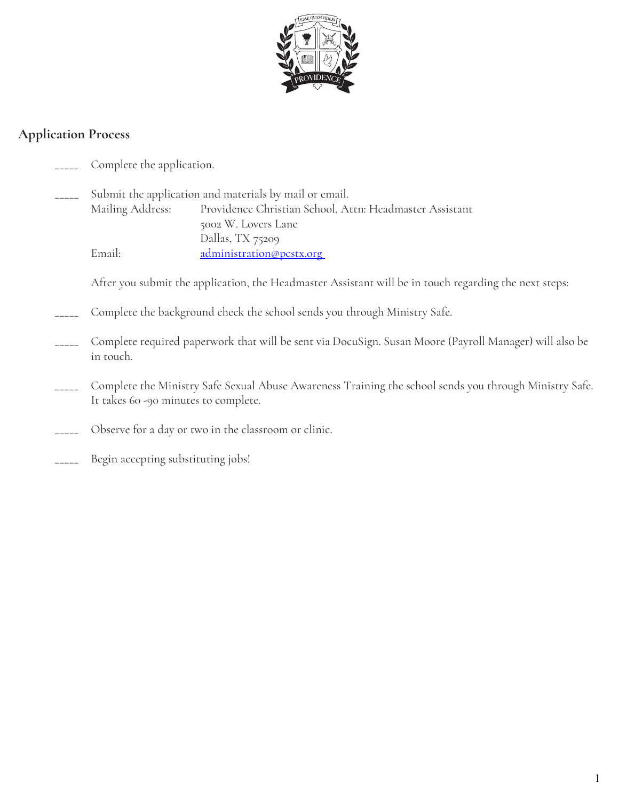

#### **Application Process**

- Complete the application.
- Submit the application and materials by mail or email. Mailing Address: Providence Christian School, Attn: Headmaster Assistant 5002 W. Lovers Lane Dallas, TX 75209 Email: administration@pcstx.org

After you submit the application, the Headmaster Assistant will be in touch regarding the next steps:

- Complete the background check the school sends you through Ministry Safe.
- \_\_\_\_\_ Complete required paperwork that will be sent via DocuSign. Susan Moore (Payroll Manager) will also be in touch.
- Complete the Ministry Safe Sexual Abuse Awareness Training the school sends you through Ministry Safe. It takes 60 -90 minutes to complete.
- Observe for a day or two in the classroom or clinic.
- Begin accepting substituting jobs!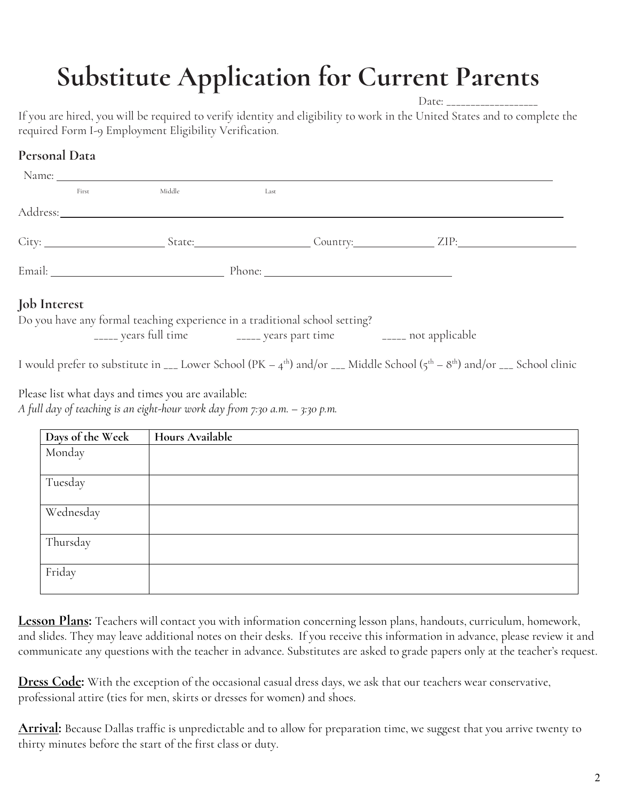# **Substitute Application for Current Parents**

Date:  $\overline{\phantom{a}}$ 

If you are hired, you will be required to verify identity and eligibility to work in the United States and to complete the required Form I-9 Employment Eligibility Verification.

## **Personal Data**

|                     | First                                                                                                                                                                                                                          | Middle                                                                                                                                              | Last |  |                                                                                                                                                                             |  |
|---------------------|--------------------------------------------------------------------------------------------------------------------------------------------------------------------------------------------------------------------------------|-----------------------------------------------------------------------------------------------------------------------------------------------------|------|--|-----------------------------------------------------------------------------------------------------------------------------------------------------------------------------|--|
|                     |                                                                                                                                                                                                                                | Address: Andreas Address Address and Address and Address and Address and Address and Address and Address and A                                      |      |  |                                                                                                                                                                             |  |
|                     |                                                                                                                                                                                                                                |                                                                                                                                                     |      |  |                                                                                                                                                                             |  |
|                     | Email: Phone: Phone: Phone: Phone: Phone: Phone: Phone: Phone: Phone: Phone: Phone: Phone: Phone: Phone: Phone: Phone: Phone: Phone: Phone: Phone: Phone: Phone: Phone: Phone: Phone: Phone: Phone: Phone: Phone: Phone: Phone |                                                                                                                                                     |      |  |                                                                                                                                                                             |  |
| <b>Job</b> Interest |                                                                                                                                                                                                                                |                                                                                                                                                     |      |  |                                                                                                                                                                             |  |
|                     |                                                                                                                                                                                                                                | Do you have any formal teaching experience in a traditional school setting?<br>_____ years full time _______ years part time _______ not applicable |      |  |                                                                                                                                                                             |  |
|                     |                                                                                                                                                                                                                                |                                                                                                                                                     |      |  | I would prefer to substitute in $_{--}$ Lower School (PK – 4 <sup>th</sup> ) and/or $_{--}$ Middle School (5 <sup>th</sup> – 8 <sup>th</sup> ) and/or $_{--}$ School clinic |  |
|                     |                                                                                                                                                                                                                                | Please list what days and times you are available:                                                                                                  |      |  |                                                                                                                                                                             |  |

*A full day of teaching is an eight-hour work day from 7:30 a.m. – 3:30 p.m.*

| Days of the Week | Hours Available |
|------------------|-----------------|
| Monday           |                 |
| Tuesday          |                 |
| Wednesday        |                 |
| Thursday         |                 |
| Friday           |                 |

**Lesson Plans:** Teachers will contact you with information concerning lesson plans, handouts, curriculum, homework, and slides. They may leave additional notes on their desks. If you receive this information in advance, please review it and communicate any questions with the teacher in advance. Substitutes are asked to grade papers only at the teacher's request.

**Dress Code:** With the exception of the occasional casual dress days, we ask that our teachers wear conservative, professional attire (ties for men, skirts or dresses for women) and shoes.

**Arrival:** Because Dallas traffic is unpredictable and to allow for preparation time, we suggest that you arrive twenty to thirty minutes before the start of the first class or duty.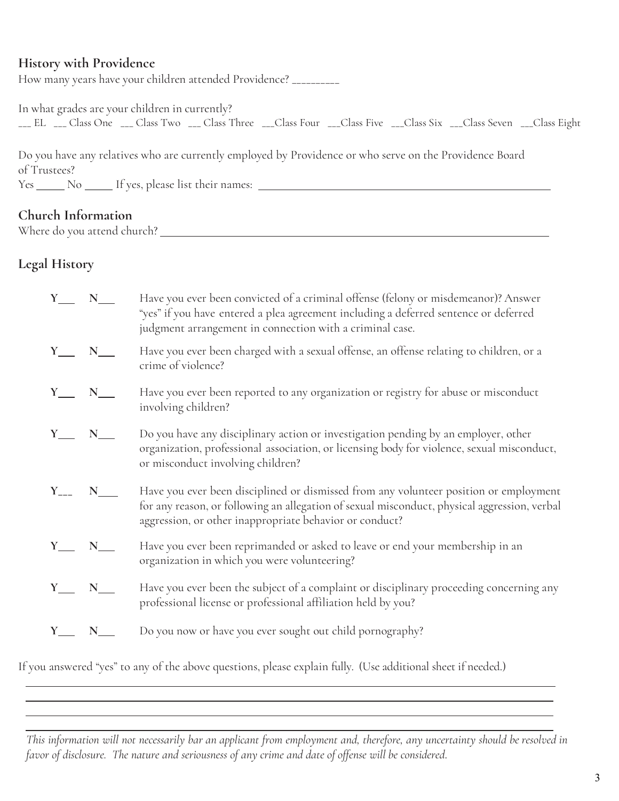#### **History with Providence**

How many years have your children attended Providence? \_\_\_\_\_\_\_\_\_\_

In what grades are your children in currently? \_\_\_ EL \_\_\_ Class One \_\_\_ Class Two \_\_\_ Class Three \_\_\_Class Four \_\_\_Class Five \_\_\_Class Six \_\_\_Class Seven \_\_\_Class Eight

Do you have any relatives who are currently employed by Providence or who serve on the Providence Board of Trustees? Yes No If yes, please list their names:

#### **Church Information**

Where do you attend church?

### **Legal History**

 $\overline{a}$  $\overline{a}$ 

|                                     | $Y_$ $N_$ | Have you ever been convicted of a criminal offense (felony or misdemeanor)? Answer<br>"yes" if you have entered a plea agreement including a deferred sentence or deferred<br>judgment arrangement in connection with a criminal case.           |
|-------------------------------------|-----------|--------------------------------------------------------------------------------------------------------------------------------------------------------------------------------------------------------------------------------------------------|
| $Y_{\phantom{1}}$ $N_{\phantom{1}}$ |           | Have you ever been charged with a sexual offense, an offense relating to children, or a<br>crime of violence?                                                                                                                                    |
| $Y_$ $N_$                           |           | Have you ever been reported to any organization or registry for abuse or misconduct<br>involving children?                                                                                                                                       |
| $Y_$ N_                             |           | Do you have any disciplinary action or investigation pending by an employer, other<br>organization, professional association, or licensing body for violence, sexual misconduct,<br>or misconduct involving children?                            |
|                                     |           | Have you ever been disciplined or dismissed from any volunteer position or employment<br>for any reason, or following an allegation of sexual misconduct, physical aggression, verbal<br>aggression, or other inappropriate behavior or conduct? |
| $Y_$ $N_$                           |           | Have you ever been reprimanded or asked to leave or end your membership in an<br>organization in which you were volunteering?                                                                                                                    |
| $Y_$ $N_$                           |           | Have you ever been the subject of a complaint or disciplinary proceeding concerning any<br>professional license or professional affiliation held by you?                                                                                         |
| $Y_$ $N_$                           |           | Do you now or have you ever sought out child pornography?                                                                                                                                                                                        |
|                                     |           |                                                                                                                                                                                                                                                  |

If you answered "yes" to any of the above questions, please explain fully. (Use additional sheet if needed.)

 $\overline{a}$ This information will not necessarily bar an applicant from employment and, therefore, any uncertainty should be resolved in *favor of disclosure. The nature and seriousness of any crime and date of offense will be considered*.

 $\overline{a}$